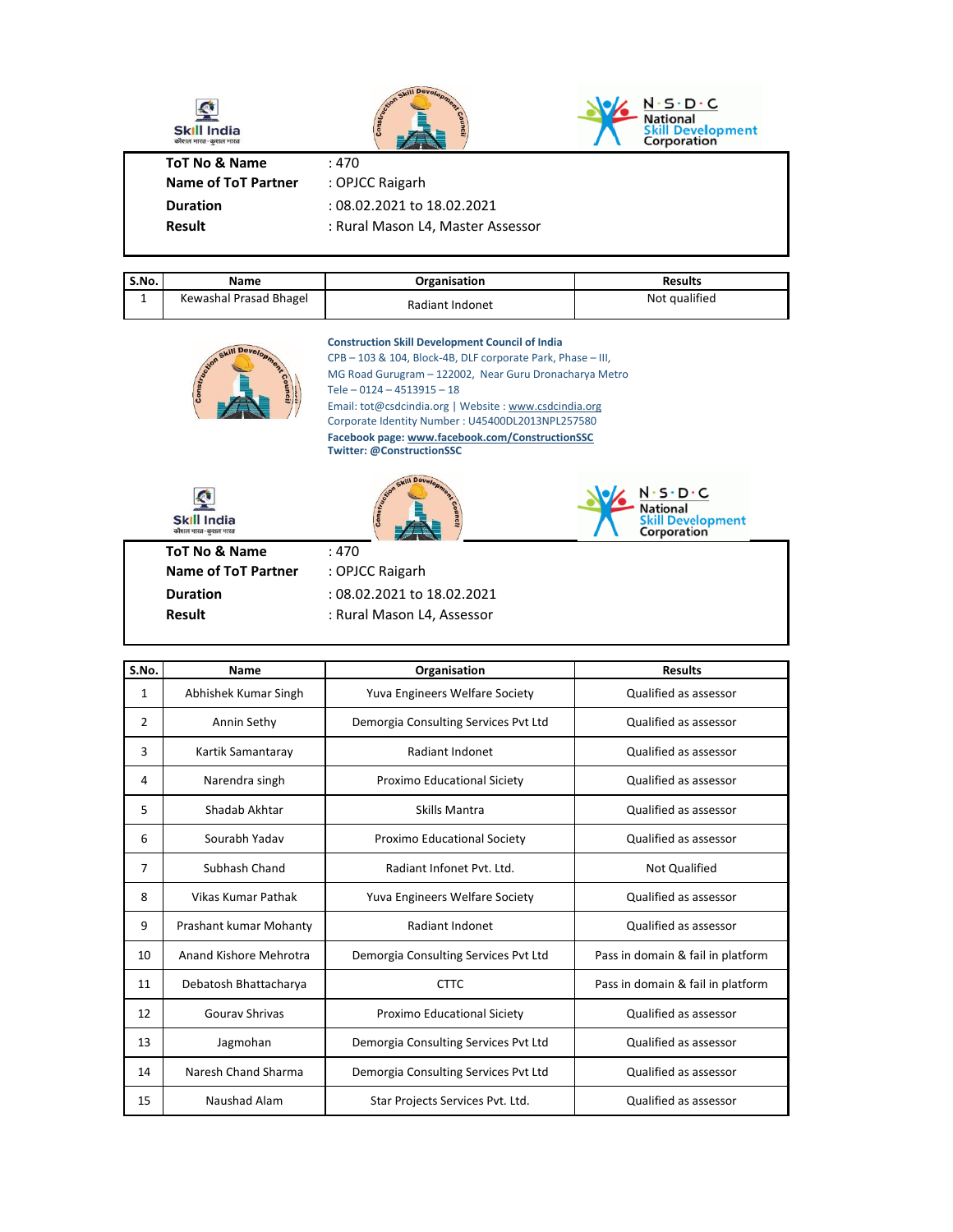| <b>Skill India</b><br>कौशल भारत-कुशल भारत | Skill Develop<br>Construction     | $\cdot$ S $\cdot$ D $\cdot$ C<br><b>Development</b><br>Corporation |
|-------------------------------------------|-----------------------------------|--------------------------------------------------------------------|
| <b>ToT No &amp; Name</b>                  | :470                              |                                                                    |
| <b>Name of ToT Partner</b>                | : OPJCC Raigarh                   |                                                                    |
| <b>Duration</b>                           | : 08.02.2021 to 18.02.2021        |                                                                    |
| <b>Result</b>                             | : Rural Mason L4, Master Assessor |                                                                    |
|                                           |                                   |                                                                    |

| S.No.    | Name                   | Organisation    | <b>Results</b> |
|----------|------------------------|-----------------|----------------|
| <b>.</b> | Kewashal Prasad Bhagel | Radiant Indonet | Not qualified  |



**Construction Skill Development Council of India** CPB – 103 & 104, Block-4B, DLF corporate Park, Phase – III,

MG Road Gurugram – 122002, Near Guru Dronacharya Metro Corporate Identity Number : U45400DL2013NPL257580 **Facebook page: www.facebook.com/ConstructionSSC Twitter: @ConstructionSSC** Tele – 0124 – 4513915 – 18 Email: tot@csdcindia.org | Website : www.csdcindia.org



| S.No. | <b>Name</b>            | Organisation                         | <b>Results</b>                    |
|-------|------------------------|--------------------------------------|-----------------------------------|
| 1     | Abhishek Kumar Singh   | Yuva Engineers Welfare Society       | Qualified as assessor             |
| 2     | Annin Sethy            | Demorgia Consulting Services Pvt Ltd | Qualified as assessor             |
| 3     | Kartik Samantaray      | Radiant Indonet                      | Qualified as assessor             |
| 4     | Narendra singh         | Proximo Educational Siciety          | Qualified as assessor             |
| 5     | Shadab Akhtar          | Skills Mantra                        | Qualified as assessor             |
| 6     | Sourabh Yadav          | Proximo Educational Society          | Qualified as assessor             |
| 7     | Subhash Chand          | Radiant Infonet Pyt. Ltd.            | Not Qualified                     |
| 8     | Vikas Kumar Pathak     | Yuva Engineers Welfare Society       | Qualified as assessor             |
| 9     | Prashant kumar Mohanty | Radiant Indonet                      | Qualified as assessor             |
| 10    | Anand Kishore Mehrotra | Demorgia Consulting Services Pvt Ltd | Pass in domain & fail in platform |
| 11    | Debatosh Bhattacharya  | <b>CTTC</b>                          | Pass in domain & fail in platform |
| 12    | Gouray Shrivas         | Proximo Educational Siciety          | Qualified as assessor             |
| 13    | Jagmohan               | Demorgia Consulting Services Pvt Ltd | Qualified as assessor             |
| 14    | Naresh Chand Sharma    | Demorgia Consulting Services Pvt Ltd | Qualified as assessor             |
| 15    | Naushad Alam           | Star Projects Services Pvt. Ltd.     | Qualified as assessor             |